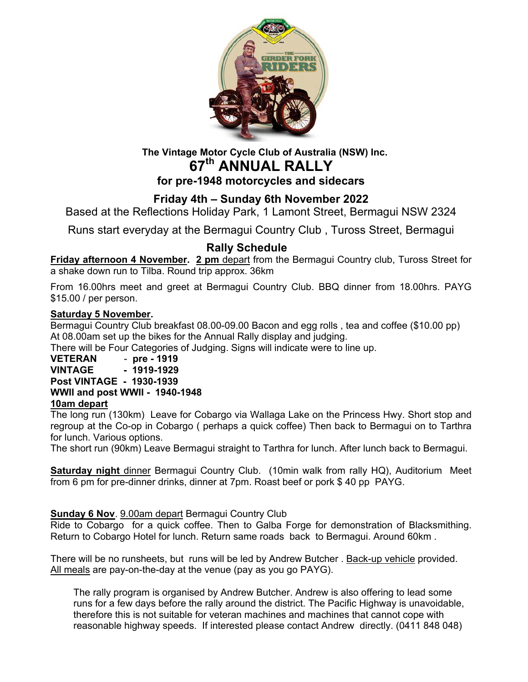

# **The Vintage Motor Cycle Club of Australia (NSW) Inc. 67th ANNUAL RALLY**

## **for pre-1948 motorcycles and sidecars**

### **Friday 4th – Sunday 6th November 2022**

Based at the Reflections Holiday Park, 1 Lamont Street, Bermagui NSW 2324

Runs start everyday at the Bermagui Country Club , Tuross Street, Bermagui

### **Rally Schedule**

**Friday afternoon 4 November. 2 pm** depart from the Bermagui Country club, Tuross Street for a shake down run to Tilba. Round trip approx. 36km

From 16.00hrs meet and greet at Bermagui Country Club. BBQ dinner from 18.00hrs. PAYG \$15.00 / per person.

#### **Saturday 5 November.**

Bermagui Country Club breakfast 08.00-09.00 Bacon and egg rolls , tea and coffee (\$10.00 pp) At 08.00am set up the bikes for the Annual Rally display and judging.

There will be Four Categories of Judging. Signs will indicate were to line up.

#### **VETERAN** - **pre - 1919 VINTAGE - 1919-1929 Post VINTAGE - 1930-1939 WWII and post WWII - 1940-1948 10am depart**

The long run (130km) Leave for Cobargo via Wallaga Lake on the Princess Hwy. Short stop and regroup at the Co-op in Cobargo ( perhaps a quick coffee) Then back to Bermagui on to Tarthra for lunch. Various options.

The short run (90km) Leave Bermagui straight to Tarthra for lunch. After lunch back to Bermagui.

**Saturday night** dinner Bermagui Country Club. (10min walk from rally HQ), Auditorium Meet from 6 pm for pre-dinner drinks, dinner at 7pm. Roast beef or pork \$ 40 pp PAYG.

#### **Sunday 6 Nov**. 9.00am depart Bermagui Country Club

Ride to Cobargo for a quick coffee. Then to Galba Forge for demonstration of Blacksmithing. Return to Cobargo Hotel for lunch. Return same roads back to Bermagui. Around 60km .

There will be no runsheets, but runs will be led by Andrew Butcher . Back-up vehicle provided. All meals are pay-on-the-day at the venue (pay as you go PAYG).

The rally program is organised by Andrew Butcher. Andrew is also offering to lead some runs for a few days before the rally around the district. The Pacific Highway is unavoidable, therefore this is not suitable for veteran machines and machines that cannot cope with reasonable highway speeds. If interested please contact Andrew directly. (0411 848 048)